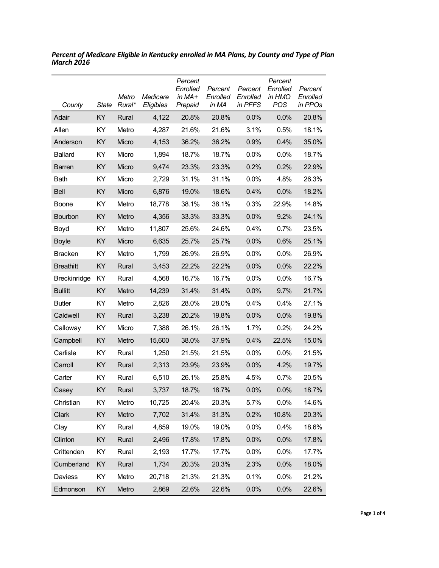| County           | State | Metro<br>Rural* | Medicare<br>Eligibles | Percent<br>Enrolled<br>in MA+<br>Prepaid | Percent<br>Enrolled<br>in MA | Percent<br>Enrolled<br>in PFFS | Percent<br>Enrolled<br>in HMO<br>POS | Percent<br>Enrolled<br>in PPOs |
|------------------|-------|-----------------|-----------------------|------------------------------------------|------------------------------|--------------------------------|--------------------------------------|--------------------------------|
| Adair            | KY    | Rural           | 4,122                 | 20.8%                                    | 20.8%                        | 0.0%                           | 0.0%                                 | 20.8%                          |
| Allen            | KY    | Metro           | 4,287                 | 21.6%                                    | 21.6%                        | 3.1%                           | 0.5%                                 | 18.1%                          |
| Anderson         | KY    | Micro           | 4,153                 | 36.2%                                    | 36.2%                        | 0.9%                           | 0.4%                                 | 35.0%                          |
| <b>Ballard</b>   | KY    | Micro           | 1,894                 | 18.7%                                    | 18.7%                        | 0.0%                           | 0.0%                                 | 18.7%                          |
| <b>Barren</b>    | KY    | Micro           | 9,474                 | 23.3%                                    | 23.3%                        | 0.2%                           | 0.2%                                 | 22.9%                          |
| Bath             | KY    | Micro           | 2,729                 | 31.1%                                    | 31.1%                        | 0.0%                           | 4.8%                                 | 26.3%                          |
| <b>Bell</b>      | KY    | Micro           | 6,876                 | 19.0%                                    | 18.6%                        | 0.4%                           | 0.0%                                 | 18.2%                          |
| Boone            | KY    | Metro           | 18,778                | 38.1%                                    | 38.1%                        | 0.3%                           | 22.9%                                | 14.8%                          |
| Bourbon          | KY    | Metro           | 4,356                 | 33.3%                                    | 33.3%                        | 0.0%                           | 9.2%                                 | 24.1%                          |
| Boyd             | KY    | Metro           | 11,807                | 25.6%                                    | 24.6%                        | 0.4%                           | 0.7%                                 | 23.5%                          |
| <b>Boyle</b>     | KY    | Micro           | 6,635                 | 25.7%                                    | 25.7%                        | 0.0%                           | 0.6%                                 | 25.1%                          |
| <b>Bracken</b>   | KY    | Metro           | 1,799                 | 26.9%                                    | 26.9%                        | 0.0%                           | $0.0\%$                              | 26.9%                          |
| <b>Breathitt</b> | KY    | Rural           | 3,453                 | 22.2%                                    | 22.2%                        | 0.0%                           | 0.0%                                 | 22.2%                          |
| Breckinridge     | KY    | Rural           | 4,568                 | 16.7%                                    | 16.7%                        | 0.0%                           | 0.0%                                 | 16.7%                          |
| <b>Bullitt</b>   | KY    | Metro           | 14,239                | 31.4%                                    | 31.4%                        | 0.0%                           | 9.7%                                 | 21.7%                          |
| <b>Butler</b>    | KY    | Metro           | 2,826                 | 28.0%                                    | 28.0%                        | 0.4%                           | 0.4%                                 | 27.1%                          |
| Caldwell         | KY    | Rural           | 3,238                 | 20.2%                                    | 19.8%                        | 0.0%                           | 0.0%                                 | 19.8%                          |
| Calloway         | KY    | Micro           | 7,388                 | 26.1%                                    | 26.1%                        | 1.7%                           | 0.2%                                 | 24.2%                          |
| Campbell         | KY    | Metro           | 15,600                | 38.0%                                    | 37.9%                        | 0.4%                           | 22.5%                                | 15.0%                          |
| Carlisle         | KY    | Rural           | 1,250                 | 21.5%                                    | 21.5%                        | 0.0%                           | $0.0\%$                              | 21.5%                          |
| Carroll          | KY    | Rural           | 2,313                 | 23.9%                                    | 23.9%                        | 0.0%                           | 4.2%                                 | 19.7%                          |
| Carter           | KY    | Rural           | 6,510                 | 26.1%                                    | 25.8%                        | 4.5%                           | 0.7%                                 | 20.5%                          |
| Casey            | KY    | Rural           | 3,737                 | 18.7%                                    | 18.7%                        | 0.0%                           | 0.0%                                 | 18.7%                          |
| Christian        | KY    | Metro           | 10,725                | 20.4%                                    | 20.3%                        | 5.7%                           | 0.0%                                 | 14.6%                          |
| Clark            | KY    | Metro           | 7,702                 | 31.4%                                    | 31.3%                        | 0.2%                           | 10.8%                                | 20.3%                          |
| Clay             | KY    | Rural           | 4,859                 | 19.0%                                    | 19.0%                        | 0.0%                           | 0.4%                                 | 18.6%                          |
| Clinton          | KY    | Rural           | 2,496                 | 17.8%                                    | 17.8%                        | 0.0%                           | 0.0%                                 | 17.8%                          |
| Crittenden       | KY    | Rural           | 2,193                 | 17.7%                                    | 17.7%                        | 0.0%                           | 0.0%                                 | 17.7%                          |
| Cumberland       | KY    | Rural           | 1,734                 | 20.3%                                    | 20.3%                        | 2.3%                           | 0.0%                                 | 18.0%                          |
| Daviess          | KY    | Metro           | 20,718                | 21.3%                                    | 21.3%                        | 0.1%                           | 0.0%                                 | 21.2%                          |
| Edmonson         | KY    | Metro           | 2,869                 | 22.6%                                    | 22.6%                        | 0.0%                           | 0.0%                                 | 22.6%                          |

*Percent of Medicare Eligible in Kentucky enrolled in MA Plans, by County and Type of Plan March 2016*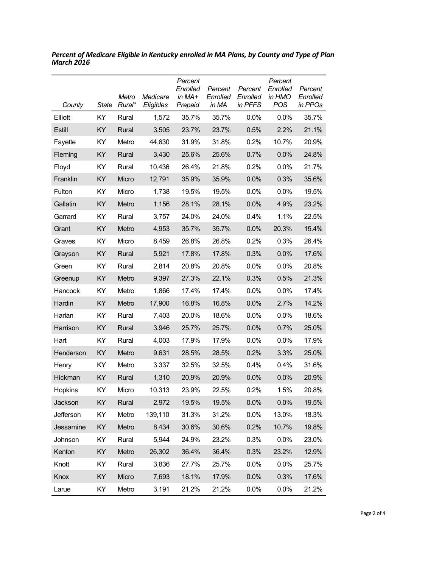| County    | State | Metro<br>Rural* | Medicare<br>Eligibles | Percent<br>Enrolled<br>in MA+<br>Prepaid | Percent<br>Enrolled<br>in MA | Percent<br>Enrolled<br>in PFFS | Percent<br>Enrolled<br>in HMO<br><b>POS</b> | Percent<br>Enrolled<br>in PPOs |
|-----------|-------|-----------------|-----------------------|------------------------------------------|------------------------------|--------------------------------|---------------------------------------------|--------------------------------|
| Elliott   | KY.   | Rural           | 1,572                 | 35.7%                                    | 35.7%                        | $0.0\%$                        | 0.0%                                        | 35.7%                          |
| Estill    | ΚY    | Rural           | 3,505                 | 23.7%                                    | 23.7%                        | 0.5%                           | 2.2%                                        | 21.1%                          |
| Fayette   | ΚY    | Metro           | 44,630                | 31.9%                                    | 31.8%                        | 0.2%                           | 10.7%                                       | 20.9%                          |
| Fleming   | ΚY    | Rural           | 3,430                 | 25.6%                                    | 25.6%                        | 0.7%                           | 0.0%                                        | 24.8%                          |
| Floyd     | ΚY    | Rural           | 10,436                | 26.4%                                    | 21.8%                        | 0.2%                           | 0.0%                                        | 21.7%                          |
| Franklin  | KY    | Micro           | 12,791                | 35.9%                                    | 35.9%                        | 0.0%                           | 0.3%                                        | 35.6%                          |
| Fulton    | ΚY    | Micro           | 1,738                 | 19.5%                                    | 19.5%                        | $0.0\%$                        | 0.0%                                        | 19.5%                          |
| Gallatin  | KY    | Metro           | 1,156                 | 28.1%                                    | 28.1%                        | 0.0%                           | 4.9%                                        | 23.2%                          |
| Garrard   | ΚY    | Rural           | 3,757                 | 24.0%                                    | 24.0%                        | 0.4%                           | 1.1%                                        | 22.5%                          |
| Grant     | KY    | Metro           | 4,953                 | 35.7%                                    | 35.7%                        | 0.0%                           | 20.3%                                       | 15.4%                          |
| Graves    | ΚY    | Micro           | 8,459                 | 26.8%                                    | 26.8%                        | 0.2%                           | 0.3%                                        | 26.4%                          |
| Grayson   | ΚY    | Rural           | 5,921                 | 17.8%                                    | 17.8%                        | 0.3%                           | 0.0%                                        | 17.6%                          |
| Green     | KY    | Rural           | 2,814                 | 20.8%                                    | 20.8%                        | 0.0%                           | 0.0%                                        | 20.8%                          |
| Greenup   | KY    | Metro           | 9,397                 | 27.3%                                    | 22.1%                        | 0.3%                           | 0.5%                                        | 21.3%                          |
| Hancock   | KY    | Metro           | 1,866                 | 17.4%                                    | 17.4%                        | 0.0%                           | 0.0%                                        | 17.4%                          |
| Hardin    | KY    | Metro           | 17,900                | 16.8%                                    | 16.8%                        | 0.0%                           | 2.7%                                        | 14.2%                          |
| Harlan    | KY    | Rural           | 7,403                 | 20.0%                                    | 18.6%                        | 0.0%                           | 0.0%                                        | 18.6%                          |
| Harrison  | ΚY    | Rural           | 3,946                 | 25.7%                                    | 25.7%                        | 0.0%                           | 0.7%                                        | 25.0%                          |
| Hart      | ΚY    | Rural           | 4,003                 | 17.9%                                    | 17.9%                        | 0.0%                           | 0.0%                                        | 17.9%                          |
| Henderson | KY    | Metro           | 9,631                 | 28.5%                                    | 28.5%                        | 0.2%                           | 3.3%                                        | 25.0%                          |
| Henry     | ΚY    | Metro           | 3,337                 | 32.5%                                    | 32.5%                        | 0.4%                           | 0.4%                                        | 31.6%                          |
| Hickman   | ΚY    | Rural           | 1,310                 | 20.9%                                    | 20.9%                        | 0.0%                           | 0.0%                                        | 20.9%                          |
| Hopkins   | KY    | Micro           | 10,313                | 23.9%                                    | 22.5%                        | 0.2%                           | 1.5%                                        | 20.8%                          |
| Jackson   | KY    | Rural           | 2,972                 | 19.5%                                    | 19.5%                        | 0.0%                           | 0.0%                                        | 19.5%                          |
| Jefferson | KY    | Metro           | 139,110               | 31.3%                                    | 31.2%                        | 0.0%                           | 13.0%                                       | 18.3%                          |
| Jessamine | KY    | Metro           | 8,434                 | 30.6%                                    | 30.6%                        | 0.2%                           | 10.7%                                       | 19.8%                          |
| Johnson   | KY    | Rural           | 5,944                 | 24.9%                                    | 23.2%                        | 0.3%                           | 0.0%                                        | 23.0%                          |
| Kenton    | KY    | Metro           | 26,302                | 36.4%                                    | 36.4%                        | 0.3%                           | 23.2%                                       | 12.9%                          |
| Knott     | KY    | Rural           | 3,836                 | 27.7%                                    | 25.7%                        | 0.0%                           | 0.0%                                        | 25.7%                          |
| Knox      | KY    | Micro           | 7,693                 | 18.1%                                    | 17.9%                        | 0.0%                           | 0.3%                                        | 17.6%                          |
| Larue     | KY    | Metro           | 3,191                 | 21.2%                                    | 21.2%                        | 0.0%                           | 0.0%                                        | 21.2%                          |

*Percent of Medicare Eligible in Kentucky enrolled in MA Plans, by County and Type of Plan March 2016*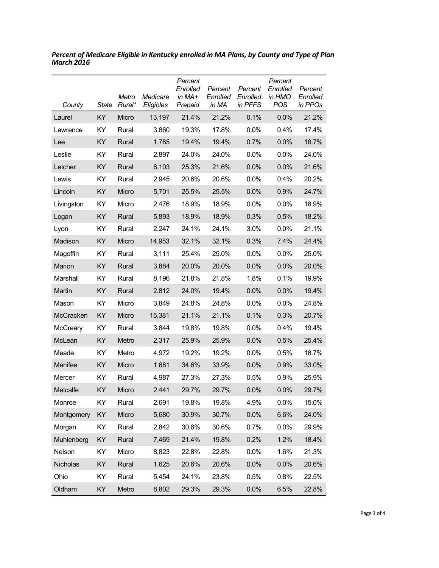| County     | State | Metro<br>Rural* | Medicare<br>Eligibles | Percent<br>Enrolled<br>in MA+<br>Prepaid | Percent<br>Enrolled<br>in MA | Percent<br>Enrolled<br>in PFFS | Percent<br>Enrolled<br>in HMO<br><b>POS</b> | Percent<br>Enrolled<br>in PPOs |
|------------|-------|-----------------|-----------------------|------------------------------------------|------------------------------|--------------------------------|---------------------------------------------|--------------------------------|
| Laurel     | KY    | Micro           | 13,197                | 21.4%                                    | 21.2%                        | 0.1%                           | 0.0%                                        | 21.2%                          |
| Lawrence   | KY    | Rural           | 3,860                 | 19.3%                                    | 17.8%                        | 0.0%                           | 0.4%                                        | 17.4%                          |
| Lee        | KY    | Rural           | 1,785                 | 19.4%                                    | 19.4%                        | 0.7%                           | 0.0%                                        | 18.7%                          |
| Leslie     | KY    | Rural           | 2,897                 | 24.0%                                    | 24.0%                        | 0.0%                           | 0.0%                                        | 24.0%                          |
| Letcher    | KY    | Rural           | 6,103                 | 25.3%                                    | 21.6%                        | 0.0%                           | 0.0%                                        | 21.6%                          |
| Lewis      | ΚY    | Rural           | 2,945                 | 20.6%                                    | 20.6%                        | 0.0%                           | 0.4%                                        | 20.2%                          |
| Lincoln    | KY    | Micro           | 5,701                 | 25.5%                                    | 25.5%                        | 0.0%                           | 0.9%                                        | 24.7%                          |
| Livingston | KY    | Micro           | 2,476                 | 18.9%                                    | 18.9%                        | 0.0%                           | $0.0\%$                                     | 18.9%                          |
| Logan      | KY    | Rural           | 5,893                 | 18.9%                                    | 18.9%                        | 0.3%                           | 0.5%                                        | 18.2%                          |
| Lyon       | KY    | Rural           | 2,247                 | 24.1%                                    | 24.1%                        | 3.0%                           | 0.0%                                        | 21.1%                          |
| Madison    | KY    | Micro           | 14,953                | 32.1%                                    | 32.1%                        | 0.3%                           | 7.4%                                        | 24.4%                          |
| Magoffin   | KY    | Rural           | 3,111                 | 25.4%                                    | 25.0%                        | 0.0%                           | 0.0%                                        | 25.0%                          |
| Marion     | KY    | Rural           | 3,884                 | 20.0%                                    | 20.0%                        | 0.0%                           | 0.0%                                        | 20.0%                          |
| Marshall   | KY    | Rural           | 8,196                 | 21.8%                                    | 21.8%                        | 1.8%                           | 0.1%                                        | 19.9%                          |
| Martin     | KY    | Rural           | 2,812                 | 24.0%                                    | 19.4%                        | 0.0%                           | 0.0%                                        | 19.4%                          |
| Mason      | KY    | Micro           | 3,849                 | 24.8%                                    | 24.8%                        | 0.0%                           | 0.0%                                        | 24.8%                          |
| McCracken  | KY    | Micro           | 15,381                | 21.1%                                    | 21.1%                        | 0.1%                           | 0.3%                                        | 20.7%                          |
| McCreary   | KY    | Rural           | 3,844                 | 19.8%                                    | 19.8%                        | 0.0%                           | 0.4%                                        | 19.4%                          |
| McLean     | KY    | Metro           | 2,317                 | 25.9%                                    | 25.9%                        | 0.0%                           | 0.5%                                        | 25.4%                          |
| Meade      | KY    | Metro           | 4,972                 | 19.2%                                    | 19.2%                        | 0.0%                           | 0.5%                                        | 18.7%                          |
| Menifee    | KY    | Micro           | 1,681                 | 34.6%                                    | 33.9%                        | 0.0%                           | 0.9%                                        | 33.0%                          |
| Mercer     | ΚY    | Rural           | 4,987                 | 27.3%                                    | 27.3%                        | 0.5%                           | 0.9%                                        | 25.9%                          |
| Metcalfe   | KY    | Micro           | 2,441                 | 29.7%                                    | 29.7%                        | 0.0%                           | 0.0%                                        | 29.7%                          |
| Monroe     | KY    | Rural           | 2,691                 | 19.8%                                    | 19.8%                        | 4.9%                           | 0.0%                                        | 15.0%                          |
| Montgomery | KY    | Micro           | 5,680                 | 30.9%                                    | 30.7%                        | 0.0%                           | 6.6%                                        | 24.0%                          |
| Morgan     | KY    | Rural           | 2,842                 | 30.6%                                    | 30.6%                        | 0.7%                           | 0.0%                                        | 29.9%                          |
| Muhlenberg | KY    | Rural           | 7,469                 | 21.4%                                    | 19.8%                        | 0.2%                           | 1.2%                                        | 18.4%                          |
| Nelson     | KY    | Micro           | 8,823                 | 22.8%                                    | 22.8%                        | 0.0%                           | 1.6%                                        | 21.3%                          |
| Nicholas   | KY    | Rural           | 1,625                 | 20.6%                                    | 20.6%                        | 0.0%                           | 0.0%                                        | 20.6%                          |
| Ohio       | KY    | Rural           | 5,454                 | 24.1%                                    | 23.8%                        | 0.5%                           | 0.8%                                        | 22.5%                          |
| Oldham     | KY    | Metro           | 8,802                 | 29.3%                                    | 29.3%                        | 0.0%                           | 6.5%                                        | 22.8%                          |

*Percent of Medicare Eligible in Kentucky enrolled in MA Plans, by County and Type of Plan March 2016*